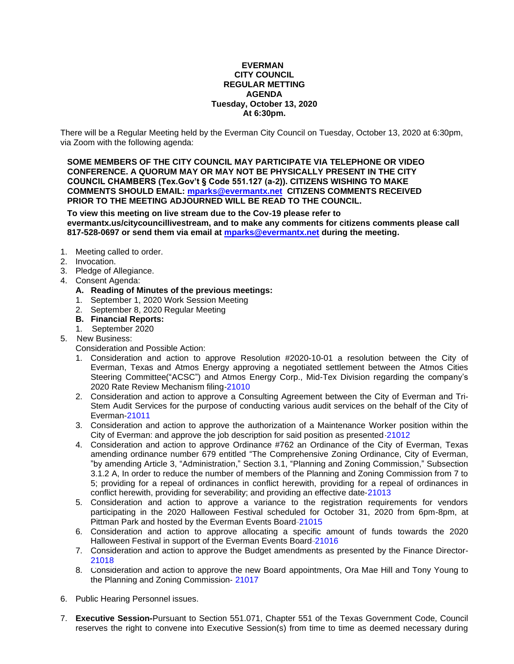#### **EVERMAN CITY COUNCIL REGULAR METTING AGENDA Tuesday, October 13, 2020 At 6:30pm.**

There will be a Regular Meeting held by the Everman City Council on Tuesday, October 13, 2020 at 6:30pm, via Zoom with the following agenda:

**SOME MEMBERS OF THE CITY COUNCIL MAY PARTICIPATE VIA TELEPHONE OR VIDEO CONFERENCE. A QUORUM MAY OR MAY NOT BE PHYSICALLY PRESENT IN THE CITY COUNCIL CHAMBERS (Tex.Gov't § Code 551.127 (a-2)). CITIZENS WISHING TO MAKE COMMENTS SHOULD EMAIL: [mparks@evermantx.net](mailto:mparks@evermantx.net) CITIZENS COMMENTS RECEIVED PRIOR TO THE MEETING ADJOURNED WILL BE READ TO THE COUNCIL.**

**To view this meeting on live stream due to the Cov-19 please refer to evermantx.us/citycouncillivestream, and to make any comments for citizens comments please call 817-528-0697 or send them via email at [mparks@evermantx.net](mailto:mparks@evermantx.net) during the meeting.**

- 1. Meeting called to order.
- 2. Invocation.
- 3. Pledge of Allegiance.
- 4. Consent Agenda:
	- **A. Reading of Minutes of the previous meetings:**
	- 1. September 1, 2020 [Work Session Meeting](#page-2-0)
	- 2. [September 8, 2020 Regular Meeting](#page-5-0)
	- **B. Financial Reports:**
	- 1. September 2020
- 5. New Business:

Consideration and Possible Action:

- 1. Consideration and action to approve Resolution #2020-10-01 a resolution between the City of Everman, Texas and Atmos Energy approving a negotiated settlement between the Atmos Cities Steering Committee("ACSC") and Atmos Energy Corp., Mid-Tex Division regarding the company's 2020 Rate Review Mechanism filing[-21010](#page-7-0)
- 2. Consideration and action to approve a Consulting Agreement between the City of Everman and Tri-Stem Audit Services for the purpose of conducting various audit services on the behalf of the City of Everman[-21011](#page-9-0)
- 3. Consideration and action to approve the authorization of a Maintenance Worker position within the City of Everman: and approve the job description for said position as presented[-21012](#page-11-0)
- 4. Consideration and action to approve Ordinance #762 an Ordinance of the City of Everman, Texas amending ordinance number 679 entitled "The Comprehensive Zoning Ordinance, City of Everman, "by amending Article 3, "Administration," Section 3.1, "Planning and Zoning Commission," Subsection 3.1.2 A, In order to reduce the number of members of the Planning and Zoning Commission from 7 to 5; providing for a repeal of ordinances in conflict herewith, providing for a repeal of ordinances in conflict herewith, providing for severability; and providing an effective date[-21013](#page-12-0)
- 5. Consideration and action to approve a variance to the registration requirements for vendors participating in the 2020 Halloween Festival scheduled for October 31, 2020 from 6pm-8pm, at Pittman Park and hosted by the Everman Events Board[-21015](#page-13-0)
- 6. Consideration and action to approve allocating a specific amount of funds towards the 2020 Halloween Festival in support of the Everman Events Board[-21016](#page-14-0)
- 7. Consideration and action to approve the Budget amendments as presented by the Finance Director-[21018](#page-15-0)
- 8. Consideration and action to approve the new Board appointments, Ora Mae Hill and Tony Young to the Planning and Zoning Commission- [21017](#page-16-0)
- 6. Public Hearing Personnel issues.
- 7. **Executive Session-**Pursuant to Section 551.071, Chapter 551 of the Texas Government Code, Council reserves the right to convene into Executive Session(s) from time to time as deemed necessary during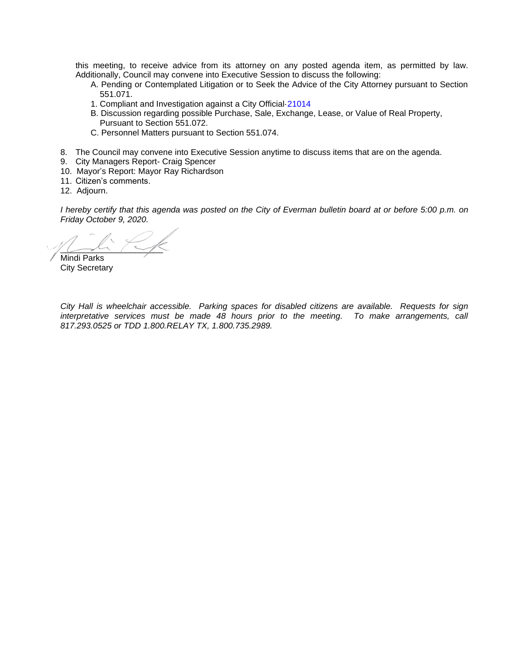this meeting, to receive advice from its attorney on any posted agenda item, as permitted by law. Additionally, Council may convene into Executive Session to discuss the following:

- A. Pending or Contemplated Litigation or to Seek the Advice of the City Attorney pursuant to Section 551.071.
- 1. Compliant and Investigation against a City Official[-21014](#page-17-0)
- B. Discussion regarding possible Purchase, Sale, Exchange, Lease, or Value of Real Property, Pursuant to Section 551.072.
- C. Personnel Matters pursuant to Section 551.074.
- 8. The Council may convene into Executive Session anytime to discuss items that are on the agenda.
- 9. City Managers Report- Craig Spencer
- 10. Mayor's Report: Mayor Ray Richardson
- 11. Citizen's comments.
- 12. Adjourn.

*I hereby certify that this agenda was posted on the City of Everman bulletin board at or before 5:00 p.m. on Friday October 9, 2020.*

 $\sim$ 

Mindi Parks City Secretary

*City Hall is wheelchair accessible. Parking spaces for disabled citizens are available. Requests for sign interpretative services must be made 48 hours prior to the meeting. To make arrangements, call 817.293.0525 or TDD 1.800.RELAY TX, 1.800.735.2989.*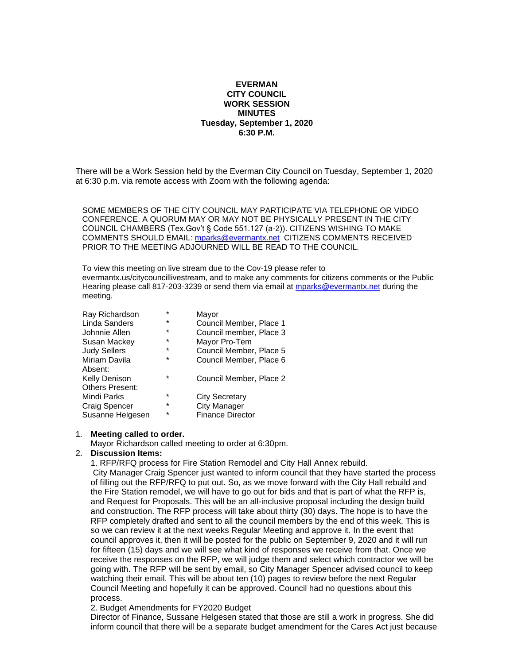#### **EVERMAN CITY COUNCIL WORK SESSION MINUTES Tuesday, September 1, 2020 6:30 P.M.**

<span id="page-2-0"></span>There will be a Work Session held by the Everman City Council on Tuesday, September 1, 2020 at 6:30 p.m. via remote access with Zoom with the following agenda:

SOME MEMBERS OF THE CITY COUNCIL MAY PARTICIPATE VIA TELEPHONE OR VIDEO CONFERENCE. A QUORUM MAY OR MAY NOT BE PHYSICALLY PRESENT IN THE CITY COUNCIL CHAMBERS (Tex.Gov't § Code 551.127 (a-2)). CITIZENS WISHING TO MAKE COMMENTS SHOULD EMAIL: [mparks@evermantx.net](mailto:mparks@evermantx.net) CITIZENS COMMENTS RECEIVED PRIOR TO THE MEETING ADJOURNED WILL BE READ TO THE COUNCIL.

To view this meeting on live stream due to the Cov-19 please refer to evermantx.us/citycouncillivestream, and to make any comments for citizens comments or the Public Hearing please call 817-203-3239 or send them via email at [mparks@evermantx.net](mailto:mparks@evermantx.net) during the meeting.

| Ray Richardson         | $\star$ | Mayor                   |
|------------------------|---------|-------------------------|
| Linda Sanders          | $\star$ | Council Member, Place 1 |
| Johnnie Allen          | $\star$ | Council member, Place 3 |
| Susan Mackey           | $\star$ | Mayor Pro-Tem           |
| <b>Judy Sellers</b>    | $\star$ | Council Member, Place 5 |
| Miriam Davila          | $\star$ | Council Member, Place 6 |
| Absent:                |         |                         |
| Kelly Denison          | $\star$ | Council Member, Place 2 |
| <b>Others Present:</b> |         |                         |
| Mindi Parks            | $\star$ | <b>City Secretary</b>   |
| Craig Spencer          | $\star$ | <b>City Manager</b>     |
| Susanne Helgesen       | $\star$ | <b>Finance Director</b> |

#### 1. **Meeting called to order.**

Mayor Richardson called meeting to order at 6:30pm.

### 2. **Discussion Items:**

1. RFP/RFQ process for Fire Station Remodel and City Hall Annex rebuild.

City Manager Craig Spencer just wanted to inform council that they have started the process of filling out the RFP/RFQ to put out. So, as we move forward with the City Hall rebuild and the Fire Station remodel, we will have to go out for bids and that is part of what the RFP is, and Request for Proposals. This will be an all-inclusive proposal including the design build and construction. The RFP process will take about thirty (30) days. The hope is to have the RFP completely drafted and sent to all the council members by the end of this week. This is so we can review it at the next weeks Regular Meeting and approve it. In the event that council approves it, then it will be posted for the public on September 9, 2020 and it will run for fifteen (15) days and we will see what kind of responses we receive from that. Once we receive the responses on the RFP, we will judge them and select which contractor we will be going with. The RFP will be sent by email, so City Manager Spencer advised council to keep watching their email. This will be about ten (10) pages to review before the next Regular Council Meeting and hopefully it can be approved. Council had no questions about this process.

2. Budget Amendments for FY2020 Budget

Director of Finance, Sussane Helgesen stated that those are still a work in progress. She did inform council that there will be a separate budget amendment for the Cares Act just because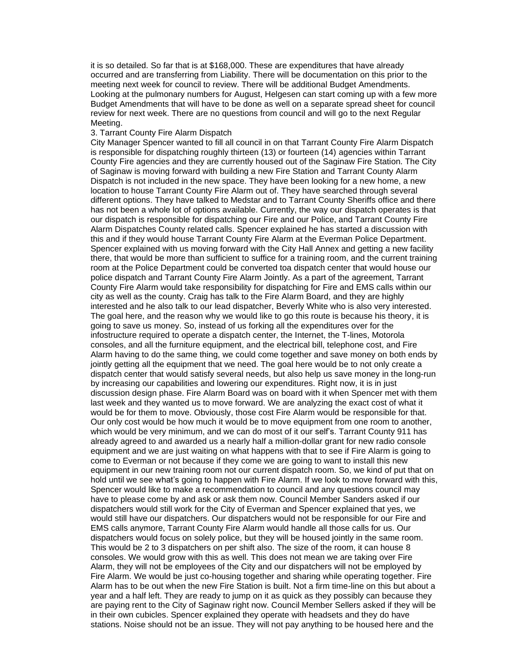it is so detailed. So far that is at \$168,000. These are expenditures that have already occurred and are transferring from Liability. There will be documentation on this prior to the meeting next week for council to review. There will be additional Budget Amendments. Looking at the pulmonary numbers for August, Helgesen can start coming up with a few more Budget Amendments that will have to be done as well on a separate spread sheet for council review for next week. There are no questions from council and will go to the next Regular Meeting.

#### 3. Tarrant County Fire Alarm Dispatch

City Manager Spencer wanted to fill all council in on that Tarrant County Fire Alarm Dispatch is responsible for dispatching roughly thirteen (13) or fourteen (14) agencies within Tarrant County Fire agencies and they are currently housed out of the Saginaw Fire Station. The City of Saginaw is moving forward with building a new Fire Station and Tarrant County Alarm Dispatch is not included in the new space. They have been looking for a new home, a new location to house Tarrant County Fire Alarm out of. They have searched through several different options. They have talked to Medstar and to Tarrant County Sheriffs office and there has not been a whole lot of options available. Currently, the way our dispatch operates is that our dispatch is responsible for dispatching our Fire and our Police, and Tarrant County Fire Alarm Dispatches County related calls. Spencer explained he has started a discussion with this and if they would house Tarrant County Fire Alarm at the Everman Police Department. Spencer explained with us moving forward with the City Hall Annex and getting a new facility there, that would be more than sufficient to suffice for a training room, and the current training room at the Police Department could be converted toa dispatch center that would house our police dispatch and Tarrant County Fire Alarm Jointly. As a part of the agreement, Tarrant County Fire Alarm would take responsibility for dispatching for Fire and EMS calls within our city as well as the county. Craig has talk to the Fire Alarm Board, and they are highly interested and he also talk to our lead dispatcher, Beverly White who is also very interested. The goal here, and the reason why we would like to go this route is because his theory, it is going to save us money. So, instead of us forking all the expenditures over for the infostructure required to operate a dispatch center, the Internet, the T-lines, Motorola consoles, and all the furniture equipment, and the electrical bill, telephone cost, and Fire Alarm having to do the same thing, we could come together and save money on both ends by jointly getting all the equipment that we need. The goal here would be to not only create a dispatch center that would satisfy several needs, but also help us save money in the long-run by increasing our capabilities and lowering our expenditures. Right now, it is in just discussion design phase. Fire Alarm Board was on board with it when Spencer met with them last week and they wanted us to move forward. We are analyzing the exact cost of what it would be for them to move. Obviously, those cost Fire Alarm would be responsible for that. Our only cost would be how much it would be to move equipment from one room to another, which would be very minimum, and we can do most of it our self's. Tarrant County 911 has already agreed to and awarded us a nearly half a million-dollar grant for new radio console equipment and we are just waiting on what happens with that to see if Fire Alarm is going to come to Everman or not because if they come we are going to want to install this new equipment in our new training room not our current dispatch room. So, we kind of put that on hold until we see what's going to happen with Fire Alarm. If we look to move forward with this, Spencer would like to make a recommendation to council and any questions council may have to please come by and ask or ask them now. Council Member Sanders asked if our dispatchers would still work for the City of Everman and Spencer explained that yes, we would still have our dispatchers. Our dispatchers would not be responsible for our Fire and EMS calls anymore, Tarrant County Fire Alarm would handle all those calls for us. Our dispatchers would focus on solely police, but they will be housed jointly in the same room. This would be 2 to 3 dispatchers on per shift also. The size of the room, it can house 8 consoles. We would grow with this as well. This does not mean we are taking over Fire Alarm, they will not be employees of the City and our dispatchers will not be employed by Fire Alarm. We would be just co-housing together and sharing while operating together. Fire Alarm has to be out when the new Fire Station is built. Not a firm time-line on this but about a year and a half left. They are ready to jump on it as quick as they possibly can because they are paying rent to the City of Saginaw right now. Council Member Sellers asked if they will be in their own cubicles. Spencer explained they operate with headsets and they do have stations. Noise should not be an issue. They will not pay anything to be housed here and the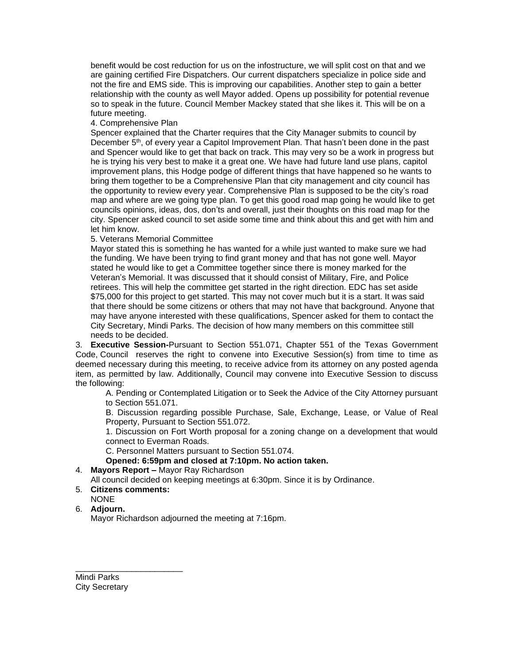benefit would be cost reduction for us on the infostructure, we will split cost on that and we are gaining certified Fire Dispatchers. Our current dispatchers specialize in police side and not the fire and EMS side. This is improving our capabilities. Another step to gain a better relationship with the county as well Mayor added. Opens up possibility for potential revenue so to speak in the future. Council Member Mackey stated that she likes it. This will be on a future meeting.

#### 4. Comprehensive Plan

Spencer explained that the Charter requires that the City Manager submits to council by December 5<sup>th</sup>, of every year a Capitol Improvement Plan. That hasn't been done in the past and Spencer would like to get that back on track. This may very so be a work in progress but he is trying his very best to make it a great one. We have had future land use plans, capitol improvement plans, this Hodge podge of different things that have happened so he wants to bring them together to be a Comprehensive Plan that city management and city council has the opportunity to review every year. Comprehensive Plan is supposed to be the city's road map and where are we going type plan. To get this good road map going he would like to get councils opinions, ideas, dos, don'ts and overall, just their thoughts on this road map for the city. Spencer asked council to set aside some time and think about this and get with him and let him know.

#### 5. Veterans Memorial Committee

Mayor stated this is something he has wanted for a while just wanted to make sure we had the funding. We have been trying to find grant money and that has not gone well. Mayor stated he would like to get a Committee together since there is money marked for the Veteran's Memorial. It was discussed that it should consist of Military, Fire, and Police retirees. This will help the committee get started in the right direction. EDC has set aside \$75,000 for this project to get started. This may not cover much but it is a start. It was said that there should be some citizens or others that may not have that background. Anyone that may have anyone interested with these qualifications, Spencer asked for them to contact the City Secretary, Mindi Parks. The decision of how many members on this committee still needs to be decided.

3. **Executive Session-**Pursuant to Section 551.071, Chapter 551 of the Texas Government Code, Council reserves the right to convene into Executive Session(s) from time to time as deemed necessary during this meeting, to receive advice from its attorney on any posted agenda item, as permitted by law. Additionally, Council may convene into Executive Session to discuss the following:

A. Pending or Contemplated Litigation or to Seek the Advice of the City Attorney pursuant to Section 551.071.

B. Discussion regarding possible Purchase, Sale, Exchange, Lease, or Value of Real Property, Pursuant to Section 551.072.

1. Discussion on Fort Worth proposal for a zoning change on a development that would connect to Everman Roads.

C. Personnel Matters pursuant to Section 551.074.

#### **Opened: 6:59pm and closed at 7:10pm. No action taken.**

### 4. **Mayors Report –** Mayor Ray Richardson

All council decided on keeping meetings at 6:30pm. Since it is by Ordinance.

5. **Citizens comments:**

\_\_\_\_\_\_\_\_\_\_\_\_\_\_\_\_\_\_\_\_\_\_\_

NONE

### 6. **Adjourn.**

Mayor Richardson adjourned the meeting at 7:16pm.

Mindi Parks City Secretary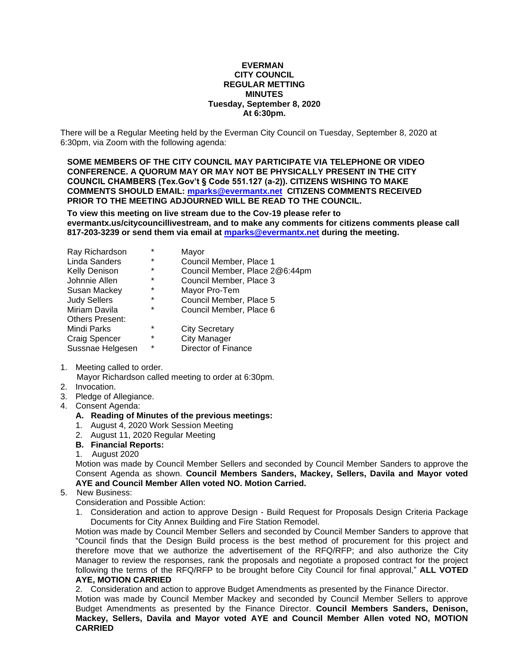#### **EVERMAN CITY COUNCIL REGULAR METTING MINUTES Tuesday, September 8, 2020 At 6:30pm.**

<span id="page-5-0"></span>There will be a Regular Meeting held by the Everman City Council on Tuesday, September 8, 2020 at 6:30pm, via Zoom with the following agenda:

**SOME MEMBERS OF THE CITY COUNCIL MAY PARTICIPATE VIA TELEPHONE OR VIDEO CONFERENCE. A QUORUM MAY OR MAY NOT BE PHYSICALLY PRESENT IN THE CITY COUNCIL CHAMBERS (Tex.Gov't § Code 551.127 (a-2)). CITIZENS WISHING TO MAKE COMMENTS SHOULD EMAIL: [mparks@evermantx.net](mailto:mparks@evermantx.net) CITIZENS COMMENTS RECEIVED PRIOR TO THE MEETING ADJOURNED WILL BE READ TO THE COUNCIL.**

**To view this meeting on live stream due to the Cov-19 please refer to evermantx.us/citycouncillivestream, and to make any comments for citizens comments please call 817-203-3239 or send them via email at [mparks@evermantx.net](mailto:mparks@evermantx.net) during the meeting.**

| Ray Richardson         | $\star$ | Mayor                          |
|------------------------|---------|--------------------------------|
| <b>Linda Sanders</b>   | $\star$ | Council Member, Place 1        |
| <b>Kelly Denison</b>   | *       | Council Member, Place 2@6:44pm |
| Johnnie Allen          | $\ast$  | Council Member, Place 3        |
| Susan Mackey           | $\ast$  | Mayor Pro-Tem                  |
| <b>Judy Sellers</b>    | $\star$ | Council Member, Place 5        |
| Miriam Davila          | $\ast$  | Council Member, Place 6        |
| <b>Others Present:</b> |         |                                |
| Mindi Parks            | $\star$ | <b>City Secretary</b>          |
| Craig Spencer          | $\star$ | <b>City Manager</b>            |
| Sussnae Helgesen       | $\star$ | Director of Finance            |

- 1. Meeting called to order. Mayor Richardson called meeting to order at 6:30pm.
- 2. Invocation.
- 3. Pledge of Allegiance.
- 4. Consent Agenda:
	- **A. Reading of Minutes of the previous meetings:**
	- 1. August 4, 2020 Work Session Meeting
	- 2. August 11, 2020 Regular Meeting
	- **B. Financial Reports:**
	- 1. August 2020

Motion was made by Council Member Sellers and seconded by Council Member Sanders to approve the Consent Agenda as shown. **Council Members Sanders, Mackey, Sellers, Davila and Mayor voted AYE and Council Member Allen voted NO. Motion Carried.**

### 5. New Business:

Consideration and Possible Action:

1. Consideration and action to approve Design - Build Request for Proposals Design Criteria Package Documents for City Annex Building and Fire Station Remodel.

Motion was made by Council Member Sellers and seconded by Council Member Sanders to approve that "Council finds that the Design Build process is the best method of procurement for this project and therefore move that we authorize the advertisement of the RFQ/RFP; and also authorize the City Manager to review the responses, rank the proposals and negotiate a proposed contract for the project following the terms of the RFQ/RFP to be brought before City Council for final approval," **ALL VOTED AYE, MOTION CARRIED**

2. Consideration and action to approve Budget Amendments as presented by the Finance Director.

Motion was made by Council Member Mackey and seconded by Council Member Sellers to approve Budget Amendments as presented by the Finance Director. **Council Members Sanders, Denison, Mackey, Sellers, Davila and Mayor voted AYE and Council Member Allen voted NO, MOTION CARRIED**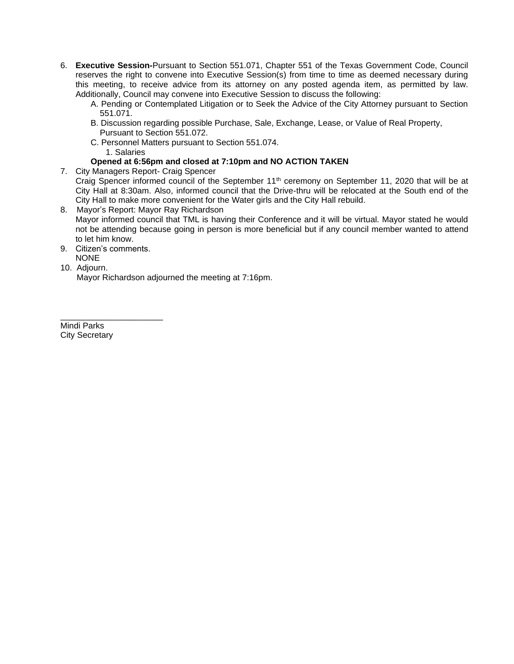- 6. **Executive Session-**Pursuant to Section 551.071, Chapter 551 of the Texas Government Code, Council reserves the right to convene into Executive Session(s) from time to time as deemed necessary during this meeting, to receive advice from its attorney on any posted agenda item, as permitted by law. Additionally, Council may convene into Executive Session to discuss the following:
	- A. Pending or Contemplated Litigation or to Seek the Advice of the City Attorney pursuant to Section 551.071.
	- B. Discussion regarding possible Purchase, Sale, Exchange, Lease, or Value of Real Property, Pursuant to Section 551.072.
	- C. Personnel Matters pursuant to Section 551.074. 1. Salaries

#### **Opened at 6:56pm and closed at 7:10pm and NO ACTION TAKEN**

7. City Managers Report- Craig Spencer

Craig Spencer informed council of the September 11<sup>th</sup> ceremony on September 11, 2020 that will be at City Hall at 8:30am. Also, informed council that the Drive-thru will be relocated at the South end of the City Hall to make more convenient for the Water girls and the City Hall rebuild.

- 8. Mayor's Report: Mayor Ray Richardson Mayor informed council that TML is having their Conference and it will be virtual. Mayor stated he would not be attending because going in person is more beneficial but if any council member wanted to attend to let him know.
- 9. Citizen's comments. NONE

\_\_\_\_\_\_\_\_\_\_\_\_\_\_\_\_\_\_\_\_\_\_

10. Adjourn.

Mayor Richardson adjourned the meeting at 7:16pm.

Mindi Parks City Secretary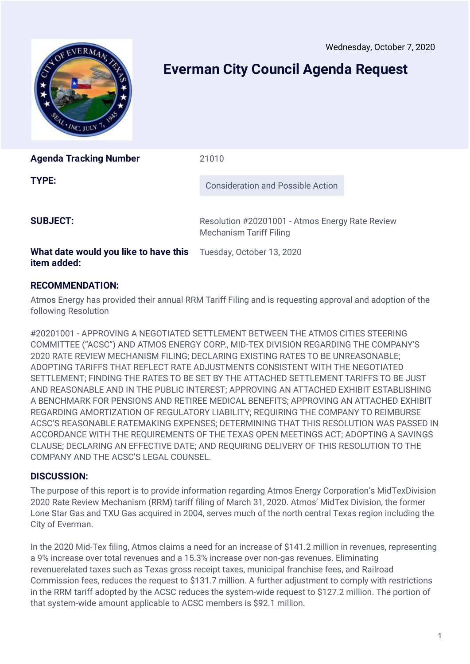Wednesday, October 7, 2020

<span id="page-7-0"></span>

# **Everman City Council Agenda Request**

| <b>Agenda Tracking Number</b>         | 21010                                                                             |
|---------------------------------------|-----------------------------------------------------------------------------------|
| <b>TYPE:</b>                          | Consideration and Possible Action                                                 |
| <b>SUBJECT:</b>                       | Resolution #20201001 - Atmos Energy Rate Review<br><b>Mechanism Tariff Filing</b> |
| What date would you like to have this | Tuesday, October 13, 2020                                                         |

## **RECOMMENDATION:**

**item added:**

Atmos Energy has provided their annual RRM Tariff Filing and is requesting approval and adoption of the following Resolution

#20201001 - APPROVING A NEGOTIATED SETTLEMENT BETWEEN THE ATMOS CITIES STEERING COMMITTEE ("ACSC") AND ATMOS ENERGY CORP., MID-TEX DIVISION REGARDING THE COMPANY'S 2020 RATE REVIEW MECHANISM FILING; DECLARING EXISTING RATES TO BE UNREASONABLE; ADOPTING TARIFFS THAT REFLECT RATE ADJUSTMENTS CONSISTENT WITH THE NEGOTIATED SETTLEMENT; FINDING THE RATES TO BE SET BY THE ATTACHED SETTLEMENT TARIFFS TO BE JUST AND REASONABLE AND IN THE PUBLIC INTEREST; APPROVING AN ATTACHED EXHIBIT ESTABLISHING A BENCHMARK FOR PENSIONS AND RETIREE MEDICAL BENEFITS; APPROVING AN ATTACHED EXHIBIT REGARDING AMORTIZATION OF REGULATORY LIABILITY; REQUIRING THE COMPANY TO REIMBURSE ACSC'S REASONABLE RATEMAKING EXPENSES; DETERMINING THAT THIS RESOLUTION WAS PASSED IN ACCORDANCE WITH THE REQUIREMENTS OF THE TEXAS OPEN MEETINGS ACT; ADOPTING A SAVINGS CLAUSE; DECLARING AN EFFECTIVE DATE; AND REQUIRING DELIVERY OF THIS RESOLUTION TO THE COMPANY AND THE ACSC'S LEGAL COUNSEL.

### **DISCUSSION:**

The purpose of this report is to provide information regarding Atmos Energy Corporation's MidTexDivision 2020 Rate Review Mechanism (RRM) tariff filing of March 31, 2020. Atmos' MidTex Division, the former Lone Star Gas and TXU Gas acquired in 2004, serves much of the north central Texas region including the City of Everman.

In the 2020 Mid-Tex filing, Atmos claims a need for an increase of \$141.2 million in revenues, representing a 9% increase over total revenues and a 15.3% increase over non-gas revenues. Eliminating revenuerelated taxes such as Texas gross receipt taxes, municipal franchise fees, and Railroad Commission fees, reduces the request to \$131.7 million. A further adjustment to comply with restrictions in the RRM tariff adopted by the ACSC reduces the system-wide request to \$127.2 million. The portion of that system-wide amount applicable to ACSC members is \$92.1 million.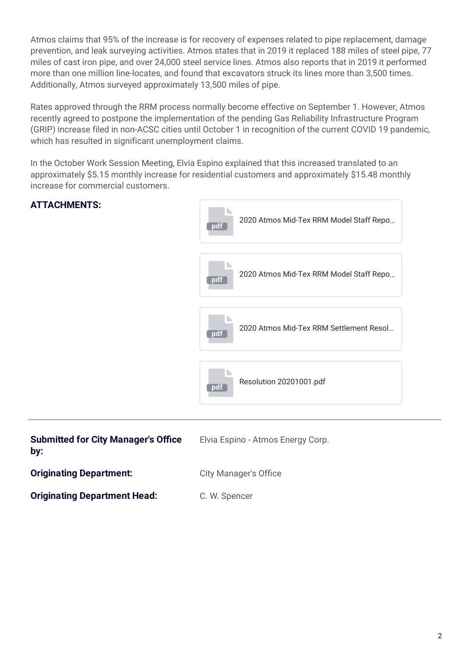Atmos claims that 95% of the increase is for recovery of expenses related to pipe replacement, damage prevention, and leak surveying activities. Atmos states that in 2019 it replaced 188 miles of steel pipe, 77 miles of cast iron pipe, and over 24,000 steel service lines. Atmos also reports that in 2019 it performed more than one million line-locates, and found that excavators struck its lines more than 3,500 times. Additionally, Atmos surveyed approximately 13,500 miles of pipe.

Rates approved through the RRM process normally become effective on September 1. However, Atmos recently agreed to postpone the implementation of the pending Gas Reliability Infrastructure Program (GRIP) increase filed in non-ACSC cities until October 1 in recognition of the current COVID 19 pandemic, which has resulted in significant unemployment claims.

In the October Work Session Meeting, Elvia Espino explained that this increased translated to an approximately \$5.15 monthly increase for residential customers and approximately \$15.48 monthly increase for commercial customers.



| <b>Submitted for City Manager's Office</b><br>by: | Elvia Espino - Atmos Energy Corp. |
|---------------------------------------------------|-----------------------------------|
| <b>Originating Department:</b>                    | <b>City Manager's Office</b>      |
| <b>Originating Department Head:</b>               | C. W. Spencer                     |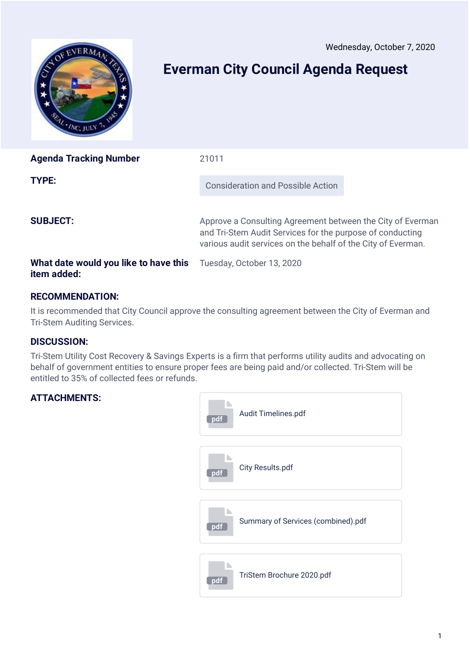Wednesday, October 7, 2020

<span id="page-9-0"></span>

# **Everman City Council Agenda Request**

| <b>Agenda Tracking Number</b>                                                         | 21011                                                                                                                                                                                   |
|---------------------------------------------------------------------------------------|-----------------------------------------------------------------------------------------------------------------------------------------------------------------------------------------|
| TYPE:                                                                                 | Consideration and Possible Action                                                                                                                                                       |
| <b>SUBJECT:</b>                                                                       | Approve a Consulting Agreement between the City of Everman<br>and Tri-Stem Audit Services for the purpose of conducting<br>various audit services on the behalf of the City of Everman. |
| <b>What date would you like to have this</b> Tuesday, October 13, 2020<br>item added: |                                                                                                                                                                                         |

## **RECOMMENDATION:**

It is recommended that City Council approve the consulting agreement between the City of Everman and Tri-Stem Auditing Services.

### **DISCUSSION:**

Tri-Stem Utility Cost Recovery & Savings Experts is a firm that performs utility audits and advocating on behalf of government entities to ensure proper fees are being paid and/or collected. Tri-Stem will be entitled to 35% of collected fees or refunds.

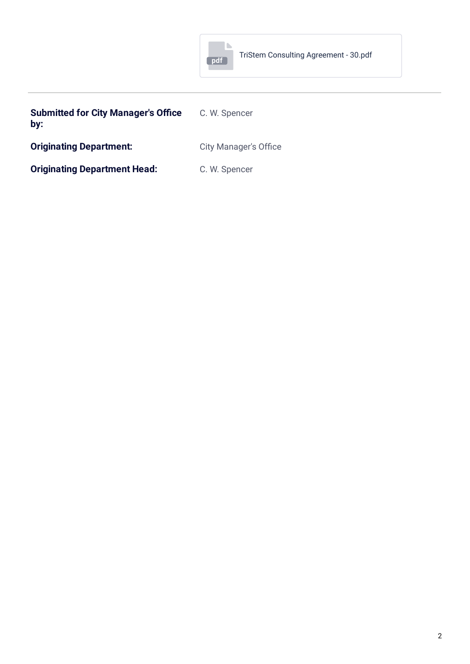

| <b>Submitted for City Manager's Office</b><br>by: | C. W. Spencer                |
|---------------------------------------------------|------------------------------|
| <b>Originating Department:</b>                    | <b>City Manager's Office</b> |

**Originating Department Head:** C. W. Spencer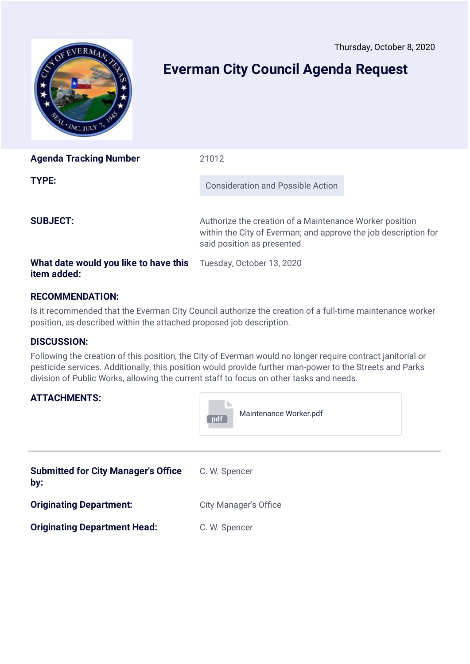Thursday, October 8, 2020

<span id="page-11-0"></span>

# **Everman City Council Agenda Request**

| <b>Agenda Tracking Number</b>                        | 21012                                                                                                                                                     |
|------------------------------------------------------|-----------------------------------------------------------------------------------------------------------------------------------------------------------|
| TYPE:                                                | Consideration and Possible Action                                                                                                                         |
| <b>SUBJECT:</b>                                      | Authorize the creation of a Maintenance Worker position<br>within the City of Everman; and approve the job description for<br>said position as presented. |
| What date would you like to have this<br>item added: | Tuesday, October 13, 2020                                                                                                                                 |

## **RECOMMENDATION:**

Is it recommended that the Everman City Council authorize the creation of a full-time maintenance worker position, as described within the attached proposed job description.

### **DISCUSSION:**

Following the creation of this position, the City of Everman would no longer require contract janitorial or pesticide services. Additionally, this position would provide further man-power to the Streets and Parks division of Public Works, allowing the current staff to focus on other tasks and needs.

**Contract** 

|                                                   | Maintenance Worker.pdf<br>pdf |
|---------------------------------------------------|-------------------------------|
| <b>Submitted for City Manager's Office</b><br>by: | C. W. Spencer                 |
| <b>Originating Department:</b>                    | <b>City Manager's Office</b>  |
| <b>Originating Department Head:</b>               | C. W. Spencer                 |
|                                                   |                               |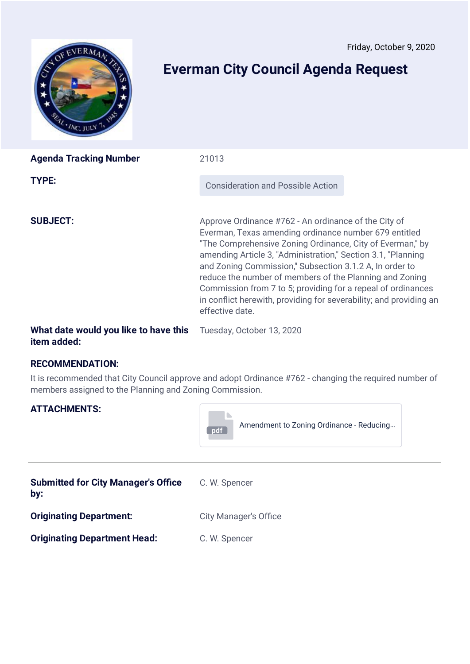<span id="page-12-0"></span>

# **Everman City Council Agenda Request**

| <b>Agenda Tracking Number</b> | 21013                                                                                                                                                                                                                                                                                                                                                                                                                                                                                                                     |
|-------------------------------|---------------------------------------------------------------------------------------------------------------------------------------------------------------------------------------------------------------------------------------------------------------------------------------------------------------------------------------------------------------------------------------------------------------------------------------------------------------------------------------------------------------------------|
| TYPE:                         | <b>Consideration and Possible Action</b>                                                                                                                                                                                                                                                                                                                                                                                                                                                                                  |
| <b>SUBJECT:</b>               | Approve Ordinance #762 - An ordinance of the City of<br>Everman, Texas amending ordinance number 679 entitled<br>"The Comprehensive Zoning Ordinance, City of Everman," by<br>amending Article 3, "Administration," Section 3.1, "Planning<br>and Zoning Commission," Subsection 3.1.2 A, In order to<br>reduce the number of members of the Planning and Zoning<br>Commission from 7 to 5; providing for a repeal of ordinances<br>in conflict herewith, providing for severability; and providing an<br>effective date. |

### **What date would you like to have this** Tuesday, October 13, 2020 **item added:**

### **RECOMMENDATION:**

It is recommended that City Council approve and adopt Ordinance #762 - changing the required number of members assigned to the Planning and Zoning Commission.

| <b>ATTACHMENTS:</b>                               | Amendment to Zoning Ordinance - Reducing<br>pdf |  |
|---------------------------------------------------|-------------------------------------------------|--|
| <b>Submitted for City Manager's Office</b><br>by: | C. W. Spencer                                   |  |
| <b>Originating Department:</b>                    | <b>City Manager's Office</b>                    |  |
| <b>Originating Department Head:</b>               | C. W. Spencer                                   |  |
|                                                   |                                                 |  |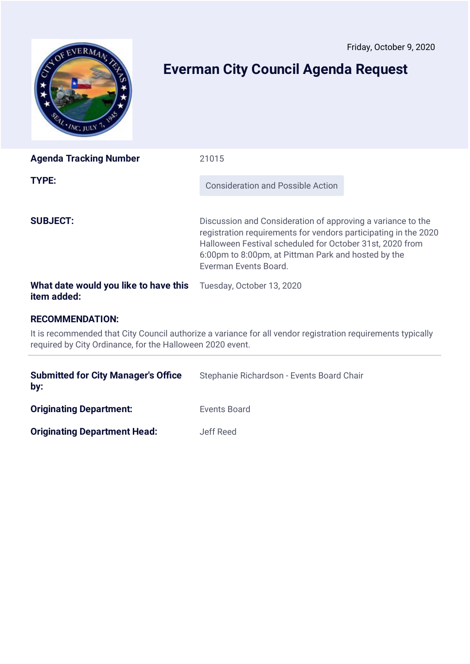<span id="page-13-0"></span>

# **Everman City Council Agenda Request**

| <b>Agenda Tracking Number</b>                        | 21015                                                                                                                                                                                                                                                                      |  |
|------------------------------------------------------|----------------------------------------------------------------------------------------------------------------------------------------------------------------------------------------------------------------------------------------------------------------------------|--|
| TYPE:                                                | <b>Consideration and Possible Action</b>                                                                                                                                                                                                                                   |  |
| <b>SUBJECT:</b>                                      | Discussion and Consideration of approving a variance to the<br>registration requirements for vendors participating in the 2020<br>Halloween Festival scheduled for October 31st, 2020 from<br>6:00pm to 8:00pm, at Pittman Park and hosted by the<br>Everman Events Board. |  |
| What date would you like to have this<br>item added: | Tuesday, October 13, 2020                                                                                                                                                                                                                                                  |  |

## **RECOMMENDATION:**

It is recommended that City Council authorize a variance for all vendor registration requirements typically required by City Ordinance, for the Halloween 2020 event.

| <b>Submitted for City Manager's Office</b><br>by: | Stephanie Richardson - Events Board Chair |
|---------------------------------------------------|-------------------------------------------|
| <b>Originating Department:</b>                    | Events Board                              |
| <b>Originating Department Head:</b>               | Jeff Reed                                 |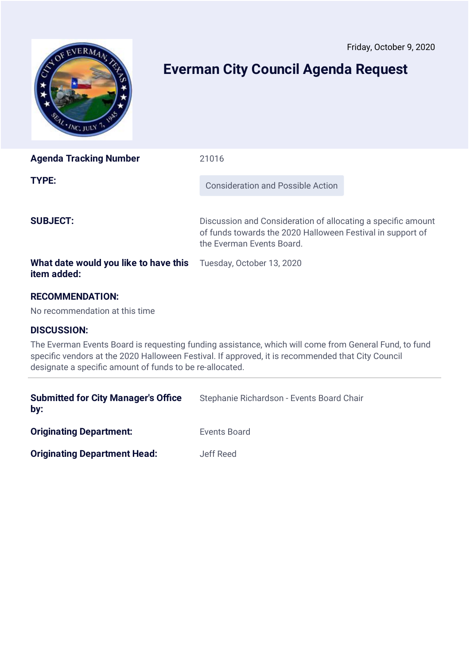<span id="page-14-0"></span>

# **Everman City Council Agenda Request**

| <b>Agenda Tracking Number</b>                                                                                                                                                                                                                                          | 21016                                                                                                                                                   |
|------------------------------------------------------------------------------------------------------------------------------------------------------------------------------------------------------------------------------------------------------------------------|---------------------------------------------------------------------------------------------------------------------------------------------------------|
| TYPE:                                                                                                                                                                                                                                                                  | <b>Consideration and Possible Action</b>                                                                                                                |
| <b>SUBJECT:</b>                                                                                                                                                                                                                                                        | Discussion and Consideration of allocating a specific amount<br>of funds towards the 2020 Halloween Festival in support of<br>the Everman Events Board. |
| What date would you like to have this<br>item added:                                                                                                                                                                                                                   | Tuesday, October 13, 2020                                                                                                                               |
| <b>RECOMMENDATION:</b><br>No recommendation at this time                                                                                                                                                                                                               |                                                                                                                                                         |
| <b>DISCUSSION:</b>                                                                                                                                                                                                                                                     |                                                                                                                                                         |
| The Everman Events Board is requesting funding assistance, which will come from General Fund, to fund<br>specific vendors at the 2020 Halloween Festival. If approved, it is recommended that City Council<br>designate a specific amount of funds to be re-allocated. |                                                                                                                                                         |

| <b>Submitted for City Manager's Office</b><br>by: | Stephanie Richardson - Events Board Chair |
|---------------------------------------------------|-------------------------------------------|
| <b>Originating Department:</b>                    | Events Board                              |
| <b>Originating Department Head:</b>               | Jeff Reed                                 |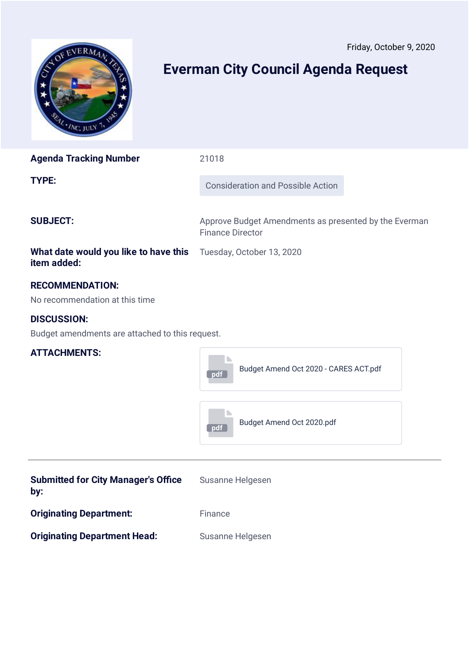<span id="page-15-0"></span>

# **Everman City Council Agenda Request**

| <b>Agenda Tracking Number</b>                                                  | 21018                                                                            |  |
|--------------------------------------------------------------------------------|----------------------------------------------------------------------------------|--|
| <b>TYPE:</b>                                                                   | <b>Consideration and Possible Action</b>                                         |  |
| <b>SUBJECT:</b>                                                                | Approve Budget Amendments as presented by the Everman<br><b>Finance Director</b> |  |
| What date would you like to have this Tuesday, October 13, 2020<br>item added: |                                                                                  |  |

### **RECOMMENDATION:**

No recommendation at this time

## **DISCUSSION:**

Budget amendments are attached to this request.



| <b>Submitted for City Manager's Office</b><br>by: | Susanne Helgesen |
|---------------------------------------------------|------------------|
| <b>Originating Department:</b>                    | Finance          |
| <b>Originating Department Head:</b>               | Susanne Helgesen |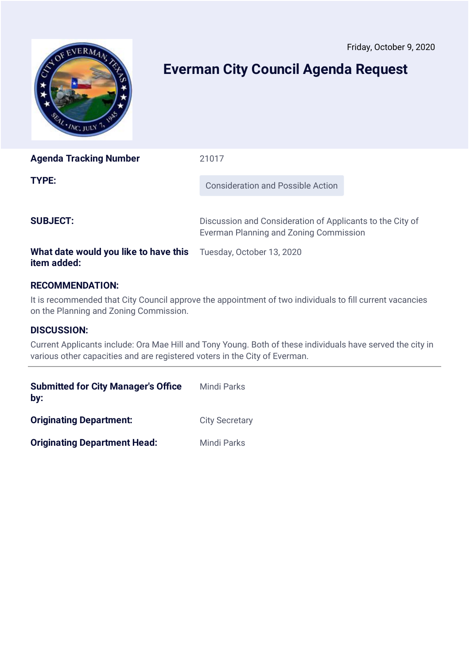<span id="page-16-0"></span>

# **Everman City Council Agenda Request**

| <b>Agenda Tracking Number</b>         | 21017                                                                                               |  |
|---------------------------------------|-----------------------------------------------------------------------------------------------------|--|
| TYPE:                                 | <b>Consideration and Possible Action</b>                                                            |  |
| <b>SUBJECT:</b>                       | Discussion and Consideration of Applicants to the City of<br>Everman Planning and Zoning Commission |  |
| What date would you like to have this | Tuesday, October 13, 2020                                                                           |  |

## **RECOMMENDATION:**

It is recommended that City Council approve the appointment of two individuals to fill current vacancies on the Planning and Zoning Commission.

### **DISCUSSION:**

**item added:**

Current Applicants include: Ora Mae Hill and Tony Young. Both of these individuals have served the city in various other capacities and are registered voters in the City of Everman.

| <b>Submitted for City Manager's Office</b><br>by: | <b>Mindi Parks</b>    |
|---------------------------------------------------|-----------------------|
| <b>Originating Department:</b>                    | <b>City Secretary</b> |
| <b>Originating Department Head:</b>               | Mindi Parks           |